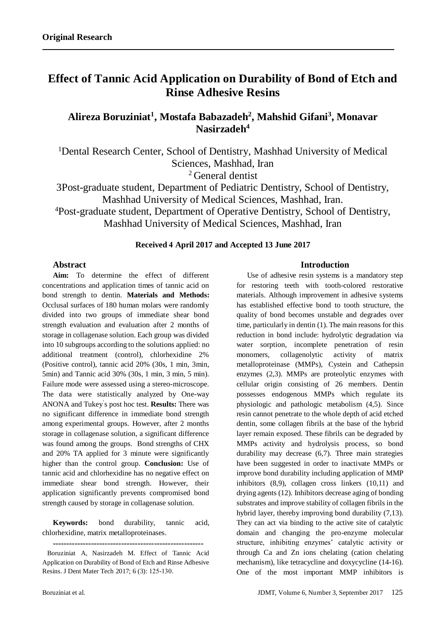# **Effect of Tannic Acid Application on Durability of Bond of Etch and Rinse Adhesive Resins**

**Alireza Boruziniat<sup>1</sup> , Mostafa Babazadeh<sup>2</sup> , Mahshid Gifani<sup>3</sup> , Monavar Nasirzadeh<sup>4</sup>**

<sup>1</sup>Dental Research Center, School of Dentistry, Mashhad University of Medical Sciences, Mashhad, Iran

<sup>2</sup> General dentist

3Post-graduate student, Department of Pediatric Dentistry, School of Dentistry, Mashhad University of Medical Sciences, Mashhad, Iran. <sup>4</sup>Post-graduate student, Department of Operative Dentistry, School of Dentistry, Mashhad University of Medical Sciences, Mashhad, Iran

## **Received 4 April 2017 and Accepted 13 June 2017**

# **Abstract**

**Aim:** To determine the effect of different concentrations and application times of tannic acid on bond strength to dentin. **Materials and Methods:** Occlusal surfaces of 180 human molars were randomly divided into two groups of immediate shear bond strength evaluation and evaluation after 2 months of storage in collagenase solution. Each group was divided into 10 subgroups according to the solutions applied: no additional treatment (control), chlorhexidine 2% (Positive control), tannic acid 20% (30s, 1 min, 3min, 5min) and Tannic acid 30% (30s, 1 min, 3 min, 5 min). Failure mode were assessed using a stereo-microscope. The data were statistically analyzed by One-way ANONA and Tukey' s post hoc test. **Results:** There was no significant difference in immediate bond strength among experimental groups. However, after 2 months storage in collagenase solution, a significant difference was found among the groups. Bond strengths of CHX and 20% TA applied for 3 minute were significantly higher than the control group. **Conclusion:** Use of tannic acid and chlorhexidine has no negative effect on immediate shear bond strength. However, their application significantly prevents compromised bond strength caused by storage in collagenase solution.

**Keywords:** bond durability, tannic acid, chlorhexidine, matrix metalloproteinases.

**-------------------------------------------------------**

 Boruziniat A, Nasirzadeh M. Effect of Tannic Acid Application on Durability of Bond of Etch and Rinse Adhesive Resins. J Dent Mater Tech 2017; 6 (3): 125-130.

# **Introduction**

Use of adhesive resin systems is a mandatory step for restoring teeth with tooth-colored restorative materials. Although improvement in adhesive systems has established effective bond to tooth structure, the quality of bond becomes unstable and degrades over time, particularly in dentin [\(1\)](#page-3-0). The main reasons for this reduction in bond include: hydrolytic degradation via water sorption, incomplete penetration of resin monomers, collagenolytic activity of matrix metalloproteinase (MMPs), Cystein and Cathepsin enzymes [\(2](#page-3-1)[,3\)](#page-3-2). MMPs are proteolytic enzymes with cellular origin consisting of 26 members. Dentin possesses endogenous MMPs which regulate its physiologic and pathologic metabolism [\(4](#page-3-3)[,5\)](#page-3-4). Since resin cannot penetrate to the whole depth of acid etched dentin, some collagen fibrils at the base of the hybrid layer remain exposed. These fibrils can be degraded by MMPs activity and hydrolysis process, so bond durability may decrease [\(6,](#page-3-5)[7\)](#page-4-0). Three main strategies have been suggested in order to inactivate MMPs or improve bond durability including application of MMP inhibitors [\(8](#page-4-1)[,9\)](#page-4-2), collagen cross linkers [\(10](#page-4-3)[,11\)](#page-4-4) and drying agents [\(12\)](#page-4-5). Inhibitors decrease aging of bonding substrates and improve stability of collagen fibrils in the hybrid layer, thereby improving bond durability [\(7,](#page-4-0)[13\)](#page-4-6). They can act via binding to the active site of catalytic domain and changing the pro-enzyme molecular structure, inhibiting enzymes' catalytic activity or through Ca and Zn ions chelating (cation chelating mechanism), like tetracycline and doxycycline [\(14-16\)](#page-4-7). One of the most important MMP inhibitors is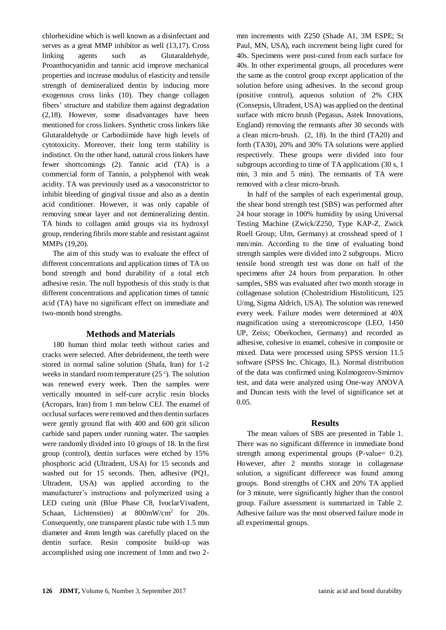chlorhexidine which is well known as a disinfectant and serves as a great MMP inhibitor as well [\(13,](#page-4-6)[17\)](#page-4-8). Cross linking agents such as Glutaraldehyde, Proanthocyanidin and tannic acid improve mechanical properties and increase modulus of elasticity and tensile strength of demineralized dentin by inducing more exogenous cross links [\(10\)](#page-4-3). They change collagen fibers' structure and stabilize them against degradation [\(2](#page-3-1)[,18\)](#page-4-9). However, some disadvantages have been mentioned for cross linkers. Synthetic cross linkers like Glutaraldehyde or Carbodiimide have high levels of cytotoxicity. Moreover, their long term stability is indistinct. On the other hand, natural cross linkers have fewer shortcomings [\(2\)](#page-3-1). Tannic acid (TA) is a commercial form of Tannin, a polyphenol with weak acidity. TA was previously used as a vasoconstrictor to inhibit bleeding of gingival tissue and also as a dentin acid conditioner. However, it was only capable of removing smear layer and not demineralizing dentin. TA binds to collagen amid groups via its hydroxyl group, rendering fibrils more stable and resistant against MMPs [\(19](#page-4-10)[,20\)](#page-4-11).

The aim of this study was to evaluate the effect of different concentrations and application times of TA on bond strength and bond durability of a total etch adhesive resin. The null hypothesis of this study is that different concentrations and application times of tannic acid (TA) have no significant effect on immediate and two-month bond strengths.

#### **Methods and Materials**

180 human third molar teeth without caries and cracks were selected. After debridement, the teeth were stored in normal saline solution (Shafa, Iran) for 1-2 weeks in standard room temperature  $(25^{\circ})$ . The solution was renewed every week. Then the samples were vertically mounted in self-cure acrylic resin blocks (Acropars, Iran) from 1 mm below CEJ. The enamel of occlusal surfaces were removed and then dentin surfaces were gently ground flat with 400 and 600 grit silicon carbide sand papers under running water. The samples were randomly divided into 10 groups of 18. In the first group (control), dentin surfaces were etched by 15% phosphoric acid (Ultradent, USA) for 15 seconds and washed out for 15 seconds. Then, adhesive (PQ1, Ultradent, USA) was applied according to the manufacturer's instructions and polymerized using a LED curing unit (Blue Phase C8, IvoclarVivadent, Schaan, Lichtenstien) at  $800 \text{mW/cm}^2$  for 20s. Consequently, one transparent plastic tube with 1.5 mm diameter and 4mm length was carefully placed on the dentin surface. Resin composite build-up was accomplished using one increment of 1mm and two 2mm increments with Z250 (Shade A1, 3M ESPE; St Paul, MN, USA), each increment being light cured for 40s. Specimens were post-cured from each surface for 40s. In other experimental groups, all procedures were the same as the control group except application of the solution before using adhesives. In the second group (positive control), aqueous solution of 2% CHX (Consepsis, Ultradent, USA) was applied on the dentinal surface with micro brush (Pegasus, Astek Innovations, England) removing the remnants after 30 seconds with a clean micro-brush. (2, 18). In the third (TA20) and forth (TA30), 20% and 30% TA solutions were applied respectively. These groups were divided into four subgroups according to time of TA applications (30 s, 1 min, 3 min and 5 min). The remnants of TA were removed with a clear micro-brush.

In half of the samples of each experimental group, the shear bond strength test (SBS) was performed after 24 hour storage in 100% humidity by using Universal Testing Machine (Zwick/Z250, Type KAP-Z, Zwick Roell Group; Ulm, Germany) at crosshead speed of 1 mm/min. According to the time of evaluating bond strength samples were divided into 2 subgroups. Micro tensile bond strength test was done on half of the specimens after 24 hours from preparation. In other samples, SBS was evaluated after two month storage in collagenase solution (Cholestridium Histoliticum, 125 U/mg, Sigma Aldrich, USA). The solution was renewed every week. Failure modes were determined at 40X magnification using a stereomicroscope (LEO, 1450 UP, Zeiss; Oberkochen, Germany) and recorded as adhesive, cohesive in enamel, cohesive in composite or mixed. Data were processed using SPSS version 11.5 software (SPSS Inc. Chicago, IL). Normal distribution of the data was confirmed using Kolmogorov-Smirnov test, and data were analyzed using One-way ANOVA and Duncan tests with the level of significance set at 0.05.

#### **Results**

The mean values of SBS are presented in Table 1. There was no significant difference in immediate bond strength among experimental groups (P-value= 0.2). However, after 2 months storage in collagenase solution, a significant difference was found among groups. Bond strengths of CHX and 20% TA applied for 3 minute, were significantly higher than the control group. Failure assessment is summarized in Table 2. Adhesive failure was the most observed failure mode in all experimental groups.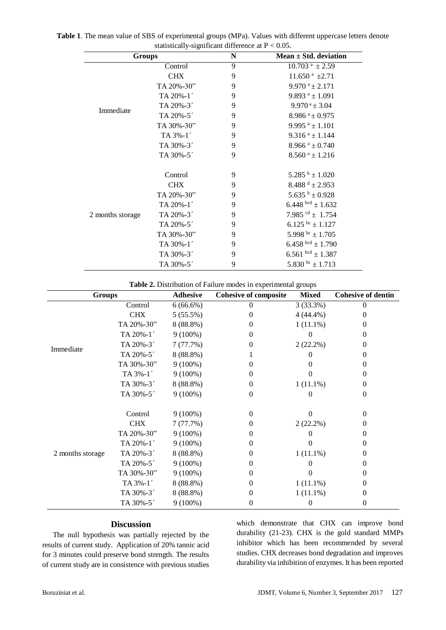| Groups           |                       | ${\bf N}$ | Mean $\pm$ Std. deviation        |  |
|------------------|-----------------------|-----------|----------------------------------|--|
| Immediate        | Control               | 9         | $10.703$ <sup>a</sup> $\pm 2.59$ |  |
|                  | <b>CHX</b>            | 9         | $11.650$ <sup>a</sup> $\pm 2.71$ |  |
|                  | TA 20%-30"            | 9         | $9.970^{\text{a}} \pm 2.171$     |  |
|                  | TA 20%-1 <sup>'</sup> | 9         | $9.893$ <sup>a</sup> ± 1.091     |  |
|                  | TA 20%-3 <sup>-</sup> | 9         | $9.970^{\text{ a}} \pm 3.04$     |  |
|                  | TA 20%-5 <sup>-</sup> | 9         | $8.986$ <sup>a</sup> ± 0.975     |  |
|                  | TA 30%-30"            | 9         | 9.995 $a \pm 1.101$              |  |
|                  | $TA 3\% -1'$          | 9         | $9.316$ <sup>a</sup> ± 1.144     |  |
|                  | TA 30%-3 <sup>-</sup> | 9         | $8.966$ <sup>a</sup> ± 0.740     |  |
|                  | TA 30%-5 <sup>-</sup> | 9         | $8.560$ <sup>a</sup> ± 1.216     |  |
| 2 months storage | Control               | 9         | $5.285^{b} \pm 1.020$            |  |
|                  | <b>CHX</b>            | 9         | $8.488^{d} \pm 2.953$            |  |
|                  | TA 20%-30"            | 9         | $5.635^{b} \pm 0.928$            |  |
|                  | TA 20%-1 <sup>'</sup> | 9         | 6.448 $^{bcd}$ ± 1.632           |  |
|                  | TA 20%-3 <sup>-</sup> | 9         | 7.985 $\mathrm{^{cd}}$ ± 1.754   |  |
|                  | TA 20%-5 <sup>-</sup> | 9         | $6.125^{bc} \pm 1.127$           |  |
|                  | TA 30%-30"            | 9         | 5.998 bc $\pm$ 1.705             |  |
|                  | TA 30%-1 <sup>-</sup> | 9         | $6.458$ bcd $\pm$ 1.790          |  |
|                  | TA 30%-3 <sup>-</sup> | 9         | 6.561 $bcd \pm 1.387$            |  |
|                  | TA 30%-5 <sup>-</sup> | 9         | 5.830 bc $\pm$ 1.713             |  |

**Table 1**. The mean value of SBS of experimental groups (MPa). Values with different uppercase letters denote statistically-significant difference at  $P < 0.05$ statistically-significant different

**Table 2.** Distribution of Failure modes in experimental groups

| <b>Groups</b>    |                       | <b>Adhesive</b> | <b>Cohesive of composite</b> | <b>Mixed</b> | <b>Cohesive of dentin</b> |
|------------------|-----------------------|-----------------|------------------------------|--------------|---------------------------|
| Immediate        | Control               | $6(66.6\%)$     | 0                            | 3(33.3%)     | 0                         |
|                  | <b>CHX</b>            | 5(55.5%)        | 0                            | $4(44.4\%)$  | $\Omega$                  |
|                  | TA 20%-30"            | 8 (88.8%)       | $^{(1)}$                     | $1(11.1\%)$  | 0                         |
|                  | TA 20%-1'             | $9(100\%)$      | $\theta$                     | 0            | 0                         |
|                  | TA 20%-3 <sup>-</sup> | 7(77.7%)        | 0                            | 2(22.2%)     | 0                         |
|                  | TA 20%-5 <sup>-</sup> | 8 (88.8%)       |                              |              | 0                         |
|                  | TA 30%-30"            | $9(100\%)$      | 0                            | 0            | 0                         |
|                  | TA 3%-1 <sup>-</sup>  | $9(100\%)$      | $\theta$                     |              | 0                         |
|                  | TA 30%-3 <sup>-</sup> | 8 (88.8%)       | 0                            | $1(11.1\%)$  | 0                         |
|                  | TA 30%-5 <sup>-</sup> | $9(100\%)$      | 0                            | 0            | 0                         |
| 2 months storage | Control               | $9(100\%)$      | $\Omega$                     | $\Omega$     | 0                         |
|                  | <b>CHX</b>            | 7(77.7%)        | 0                            | $2(22.2\%)$  | 0                         |
|                  | TA 20%-30"            | $9(100\%)$      | 0                            |              | 0                         |
|                  | TA 20%-1              | $9(100\%)$      | $\theta$                     |              | 0                         |
|                  | TA 20%-3 <sup>-</sup> | 8 (88.8%)       | 0                            | $1(11.1\%)$  | 0                         |
|                  | TA 20%-5 <sup>-</sup> | $9(100\%)$      | 0                            | 0            | 0                         |
|                  | TA 30%-30"            | $9(100\%)$      | 0                            | 0            | 0                         |
|                  | TA 3%-1 <sup>-</sup>  | 8 (88.8%)       | 0                            | $1(11.1\%)$  | 0                         |
|                  | TA 30%-3 <sup>-</sup> | 8 (88.8%)       | 0                            | $1(11.1\%)$  | 0                         |
|                  | TA 30%-5 <sup>-</sup> | $9(100\%)$      | 0                            | 0            | 0                         |

## **Discussion**

The null hypothesis was partially rejected by the results of current study. Application of 20% tannic acid for 3 minutes could preserve bond strength. The results of current study are in consistence with previous studies

which demonstrate that CHX can improve bond durability [\(21-23\)](#page-4-12). CHX is the gold standard MMPs inhibitor which has been recommended by several studies. CHX decreases bond degradation and improves durability via inhibition of enzymes. It has been reported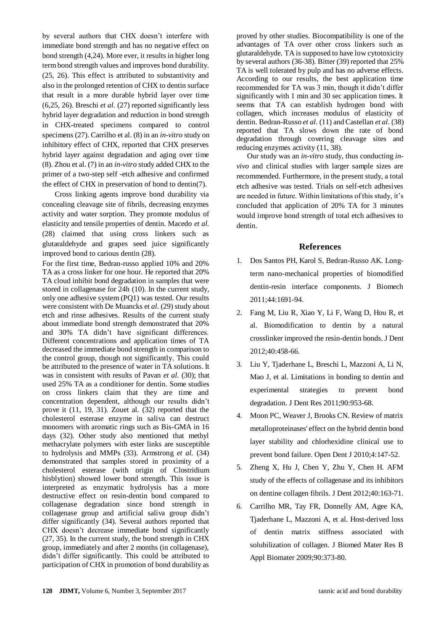by several authors that CHX doesn't interfere with immediate bond strength and has no negative effect on bond strength [\(4,](#page-3-3)[24\)](#page-4-13). More ever, it results in higher long term bond strength values and improves bond durability. [\(25,](#page-4-14) [26\)](#page-4-15). This effect is attributed to substantivity and also in the prolonged retention of CHX to dentin surface that result in a more durable hybrid layer over time [\(6](#page-3-5)[,25,](#page-4-14) [26\)](#page-4-15). Breschi *et al.* (27) reported significantly less hybrid layer degradation and reduction in bond strength in CHX-treated specimens compared to control specimens [\(27\)](#page-4-16). Carrilho et al. (8) in an *in-vitro* study on inhibitory effect of CHX, reported that CHX preserves hybrid layer against degradation and aging over time [\(8\)](#page-4-1). Zhou et al. (7) in an *in-vitro* study added CHX to the primer of a two-step self -etch adhesive and confirmed the effect of CHX in preservation of bond to dentin[\(7\)](#page-4-0).

Cross linking agents improve bond durability via concealing cleavage site of fibrils, decreasing enzymes activity and water sorption. They promote modulus of elasticity and tensile properties of dentin. Macedo *et al.* (28) claimed that using cross linkers such as glutaraldehyde and grapes seed juice significantly improved bond to carious dentin [\(28\)](#page-5-0).

For the first time, Bedran-russo applied 10% and 20% TA as a cross linker for one hour. He reported that 20% TA cloud inhibit bond degradation in samples that were stored in collagenase for 24h [\(10\)](#page-4-3). In the current study, only one adhesive system (PQ1) was tested. Our results were consistent with De Muancks et *al.* (29) study about etch and rinse adhesives. Results of the current study about immediate bond strength demonstrated that 20% and 30% TA didn't have significant differences. Different concentrations and application times of TA decreased the immediate bond strength in comparison to the control group, though not significantly. This could be attributed to the presence of water in TA solutions. It was in consistent with results of Pavan *et al.* (30); that used 25% TA as a conditioner for dentin. Some studies on cross linkers claim that they are time and concentration dependent, although our results didn't prove it [\(11,](#page-4-4) [19,](#page-4-10) [31\)](#page-5-1). Zouet al. (32) reported that the cholesterol esterase enzyme in saliva can destruct monomers with aromatic rings such as Bis-GMA in 16 days [\(32\)](#page-5-2). Other study also mentioned that methyl methacrylate polymers with ester links are susceptible to hydrolysis and MMPs (33). Armstrong *et al.* (34) demonstrated that samples stored in proximity of a cholesterol esterase (with origin of Clostridium hisblytion) showed lower bond strength. This issue is interpreted as enzymatic hydrolysis has a more destructive effect on resin-dentin bond compared to collagenase degradation since bond strength in collagenase group and artificial saliva group didn't differ significantly [\(34\)](#page-5-3). Several authors reported that CHX doesn't decrease immediate bond significantly [\(27,](#page-4-16) [35\)](#page-5-4). In the current study, the bond strength in CHX group, immediately and after 2 months (in collagenase), didn't differ significantly. This could be attributed to participation of CHX in promotion of bond durability as

proved by other studies. Biocompatibility is one of the advantages of TA over other cross linkers such as glutaraldehyde. TA is supposed to have low cytotoxicity by several authors [\(36-38\)](#page-5-5). Bitter (39) reported that 25% TA is well tolerated by pulp and has no adverse effects. According to our results, the best application time recommended for TA was 3 min, though it didn't differ significantly with 1 min and 30 sec application times. It seems that TA can establish hydrogen bond with collagen, which increases modulus of elasticity of dentin. Bedran-Russo *et al.* (11) and Castellan *et al*. (38) reported that TA slows down the rate of bond degradation through covering cleavage sites and reducing enzymes activity [\(11,](#page-4-4) [38\)](#page-5-6).

Our study was an *in-vitro* study, thus conducting *invivo* and clinical studies with larger sample sizes are recommended. Furthermore, in the present study, a total etch adhesive was tested. Trials on self-etch adhesives are needed in future. Within limitations of this study, it's concluded that application of 20% TA for 3 minutes would improve bond strength of total etch adhesives to dentin.

#### **References**

- <span id="page-3-0"></span>1. Dos Santos PH, Karol S, Bedran-Russo AK. Longterm nano-mechanical properties of biomodified dentin-resin interface components. J Biomech 2011;44:1691-94.
- <span id="page-3-1"></span>2. Fang M, Liu R, Xiao Y, Li F, Wang D, Hou R, et al. Biomodification to dentin by a natural crosslinker improved the resin-dentin bonds. J Dent 2012;40:458-66.
- <span id="page-3-2"></span>3. Liu Y, Tjaderhane L, Breschi L, Mazzoni A, Li N, Mao J, et al. Limitations in bonding to dentin and experimental strategies to prevent bond degradation. J Dent Res 2011;90:953-68.
- <span id="page-3-3"></span>4. Moon PC, Weaver J, Brooks CN. Review of matrix metalloproteinases' effect on the hybrid dentin bond layer stability and chlorhexidine clinical use to prevent bond failure. Open Dent J 2010;4:147-52.
- <span id="page-3-4"></span>5. Zheng X, Hu J, Chen Y, Zhu Y, Chen H. AFM study of the effects of collagenase and its inhibitors on dentine collagen fibrils. J Dent 2012;40:163-71.
- <span id="page-3-5"></span>6. Carrilho MR, Tay FR, Donnelly AM, Agee KA, Tjaderhane L, Mazzoni A, et al. Host-derived loss of dentin matrix stiffness associated with solubilization of collagen. J Biomed Mater Res B Appl Biomater 2009;90:373-80.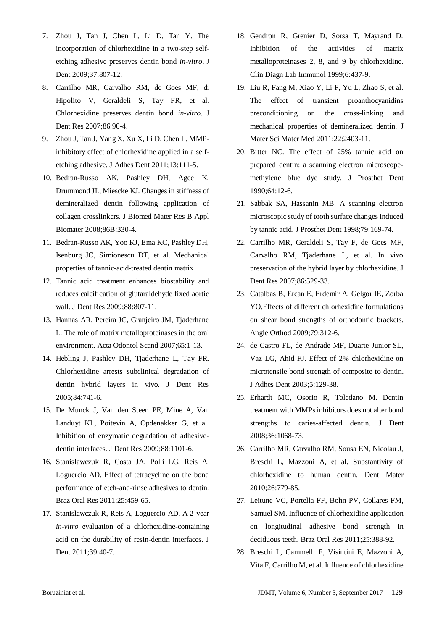- <span id="page-4-0"></span>7. Zhou J, Tan J, Chen L, Li D, Tan Y. The incorporation of chlorhexidine in a two-step selfetching adhesive preserves dentin bond *in-vitro*. J Dent 2009;37:807-12.
- <span id="page-4-1"></span>8. Carrilho MR, Carvalho RM, de Goes MF, di Hipolito V, Geraldeli S, Tay FR, et al. Chlorhexidine preserves dentin bond *in-vitro*. J Dent Res 2007;86:90-4.
- <span id="page-4-2"></span>9. Zhou J, Tan J, Yang X, Xu X, Li D, Chen L. MMPinhibitory effect of chlorhexidine applied in a selfetching adhesive. J Adhes Dent 2011;13:111-5.
- <span id="page-4-3"></span>10. Bedran-Russo AK, Pashley DH, Agee K, Drummond JL, Miescke KJ. Changes in stiffness of demineralized dentin following application of collagen crosslinkers. J Biomed Mater Res B Appl Biomater 2008;86B:330-4.
- <span id="page-4-4"></span>11. Bedran-Russo AK, Yoo KJ, Ema KC, Pashley DH, Isenburg JC, Simionescu DT, et al. Mechanical properties of tannic-acid-treated dentin matrix
- 12. Tannic acid treatment enhances biostability and reduces calcification of glutaraldehyde fixed aortic wall. J Dent Res 2009;88:807-11.
- <span id="page-4-5"></span>13. Hannas AR, Pereira JC, Granjeiro JM, Tjaderhane L. The role of matrix metalloproteinases in the oral environment. Acta Odontol Scand 2007;65:1-13.
- <span id="page-4-6"></span>14. Hebling J, Pashley DH, Tjaderhane L, Tay FR. Chlorhexidine arrests subclinical degradation of dentin hybrid layers in vivo. J Dent Res 2005;84:741-6.
- <span id="page-4-7"></span>15. De Munck J, Van den Steen PE, Mine A, Van Landuyt KL, Poitevin A, Opdenakker G, et al. Inhibition of enzymatic degradation of adhesivedentin interfaces. J Dent Res 2009;88:1101-6.
- 16. Stanislawczuk R, Costa JA, Polli LG, Reis A, Loguercio AD. Effect of tetracycline on the bond performance of etch-and-rinse adhesives to dentin. Braz Oral Res 2011;25:459-65.
- 17. Stanislawczuk R, Reis A, Loguercio AD. A 2-year *in-vitro* evaluation of a chlorhexidine-containing acid on the durability of resin-dentin interfaces. J Dent 2011;39:40-7.
- <span id="page-4-8"></span>18. Gendron R, Grenier D, Sorsa T, Mayrand D. Inhibition of the activities of matrix metalloproteinases 2, 8, and 9 by chlorhexidine. Clin Diagn Lab Immunol 1999;6:437-9.
- <span id="page-4-9"></span>19. Liu R, Fang M, Xiao Y, Li F, Yu L, Zhao S, et al. The effect of transient proanthocyanidins preconditioning on the cross-linking and mechanical properties of demineralized dentin. J Mater Sci Mater Med 2011;22:2403-11.
- <span id="page-4-10"></span>20. Bitter NC. The effect of 25% tannic acid on prepared dentin: a scanning electron microscopemethylene blue dye study. J Prosthet Dent 1990;64:12-6.
- <span id="page-4-11"></span>21. Sabbak SA, Hassanin MB. A scanning electron microscopic study of tooth surface changes induced by tannic acid. J Prosthet Dent 1998;79:169-74.
- <span id="page-4-12"></span>22. Carrilho MR, Geraldeli S, Tay F, de Goes MF, Carvalho RM, Tjaderhane L, et al. In vivo preservation of the hybrid layer by chlorhexidine. J Dent Res 2007;86:529-33.
- 23. Catalbas B, Ercan E, Erdemir A, Gelgor IE, Zorba YO.Effects of different chlorhexidine formulations on shear bond strengths of orthodontic brackets. Angle Orthod 2009;79:312-6.
- 24. de Castro FL, de Andrade MF, Duarte Junior SL, Vaz LG, Ahid FJ. Effect of 2% chlorhexidine on microtensile bond strength of composite to dentin. J Adhes Dent 2003;5:129-38.
- <span id="page-4-13"></span>25. Erhardt MC, Osorio R, Toledano M. Dentin treatment with MMPs inhibitors does not alter bond strengths to caries-affected dentin. J Dent 2008;36:1068-73.
- <span id="page-4-14"></span>26. Carrilho MR, Carvalho RM, Sousa EN, Nicolau J, Breschi L, Mazzoni A, et al. Substantivity of chlorhexidine to human dentin. Dent Mater 2010;26:779-85.
- <span id="page-4-15"></span>27. Leitune VC, Portella FF, Bohn PV, Collares FM, Samuel SM. Influence of chlorhexidine application on longitudinal adhesive bond strength in deciduous teeth. Braz Oral Res 2011;25:388-92.
- <span id="page-4-16"></span>28. Breschi L, Cammelli F, Visintini E, Mazzoni A, Vita F, Carrilho M, et al. Influence of chlorhexidine